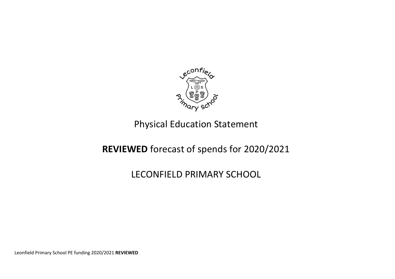

## Physical Education Statement

## **REVIEWED** forecast of spends for 2020/2021

## LECONFIELD PRIMARY SCHOOL

Leonfield Primary School PE funding 2020/2021 **REVIEWED**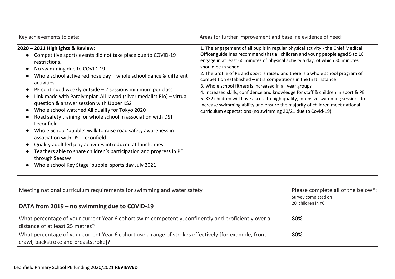| Key achievements to date:                                                                                                                                                                                                                                                                                                                                                                                                                                                                                                                                                                                                                                                                                                                                                                                                                                                    | Areas for further improvement and baseline evidence of need:                                                                                                                                                                                                                                                                                                                                                                                                                                                                                                                                                                                                                                                                                                                                                        |
|------------------------------------------------------------------------------------------------------------------------------------------------------------------------------------------------------------------------------------------------------------------------------------------------------------------------------------------------------------------------------------------------------------------------------------------------------------------------------------------------------------------------------------------------------------------------------------------------------------------------------------------------------------------------------------------------------------------------------------------------------------------------------------------------------------------------------------------------------------------------------|---------------------------------------------------------------------------------------------------------------------------------------------------------------------------------------------------------------------------------------------------------------------------------------------------------------------------------------------------------------------------------------------------------------------------------------------------------------------------------------------------------------------------------------------------------------------------------------------------------------------------------------------------------------------------------------------------------------------------------------------------------------------------------------------------------------------|
| $ 2020 - 2021$ Highlights & Review:<br>Competitive sports events did not take place due to COVID-19<br>restrictions.<br>No swimming due to COVID-19<br>Whole school active red nose day - whole school dance & different<br>activities<br>PE continued weekly outside $-2$ sessions minimum per class<br>Link made with Paralympian Ali Jawad (silver medalist Rio) - virtual<br>question & answer session with Upper KS2<br>Whole school watched Ali qualify for Tokyo 2020<br>Road safety training for whole school in association with DST<br>Leconfield<br>Whole School 'bubble' walk to raise road safety awareness in<br>association with DST Leconfield<br>Quality adult led play activities introduced at lunchtimes<br>Teachers able to share children's participation and progress in PE<br>through Seesaw<br>Whole school Key Stage 'bubble' sports day July 2021 | 1. The engagement of all pupils in regular physical activity - the Chief Medical<br>Officer guidelines recommend that all children and young people aged 5 to 18<br>engage in at least 60 minutes of physical activity a day, of which 30 minutes<br>should be in school.<br>2. The profile of PE and sport is raised and there is a whole school program of<br>competition established - intra competitions in the first instance<br>3. Whole school fitness is increased in all year groups<br>4. Increased skills, confidence and knowledge for staff & children in sport & PE<br>5. KS2 children will have access to high quality, intensive swimming sessions to<br>increase swimming ability and ensure the majority of children meet national<br>curriculum expectations (no swimming 20/21 due to Covid-19) |

| Meeting national curriculum requirements for swimming and water safety<br>DATA from 2019 – no swimming due to COVID-19                       | Please complete all of the below*:<br>Survey completed on<br>20 children in Y6. |
|----------------------------------------------------------------------------------------------------------------------------------------------|---------------------------------------------------------------------------------|
| What percentage of your current Year 6 cohort swim competently, confidently and proficiently over a<br>distance of at least 25 metres?       | 80%                                                                             |
| What percentage of your current Year 6 cohort use a range of strokes effectively (for example, front<br>crawl, backstroke and breaststroke]? | 80%                                                                             |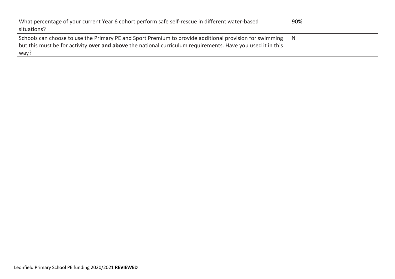| What percentage of your current Year 6 cohort perform safe self-rescue in different water-based             | 90% |
|-------------------------------------------------------------------------------------------------------------|-----|
| situations?                                                                                                 |     |
| Schools can choose to use the Primary PE and Sport Premium to provide additional provision for swimming     |     |
| but this must be for activity over and above the national curriculum requirements. Have you used it in this |     |
| way?                                                                                                        |     |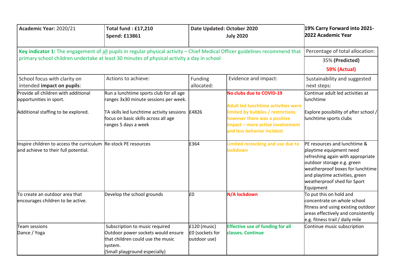| Academic Year: 2020/21                                                                                                       | <b>Total fund: £17,210</b><br><b>Spend: £13861</b>                                                                                                         | Date Updated: October 2020<br><b>July 2020</b>    |                                                                                                                                     | 19% Carry Forward into 2021-<br>2022 Academic Year                                                                                                                                                                                                      |
|------------------------------------------------------------------------------------------------------------------------------|------------------------------------------------------------------------------------------------------------------------------------------------------------|---------------------------------------------------|-------------------------------------------------------------------------------------------------------------------------------------|---------------------------------------------------------------------------------------------------------------------------------------------------------------------------------------------------------------------------------------------------------|
| Key indicator 1: The engagement of all pupils in regular physical activity - Chief Medical Officer guidelines recommend that | Percentage of total allocation:                                                                                                                            |                                                   |                                                                                                                                     |                                                                                                                                                                                                                                                         |
| primary school children undertake at least 30 minutes of physical activity a day in school                                   |                                                                                                                                                            |                                                   |                                                                                                                                     | 35% (Predicted)                                                                                                                                                                                                                                         |
|                                                                                                                              |                                                                                                                                                            |                                                   |                                                                                                                                     | <b>59% (Actual)</b>                                                                                                                                                                                                                                     |
| School focus with clarity on<br>intended impact on pupils:                                                                   | Actions to achieve:                                                                                                                                        | Funding<br>allocated:                             | Evidence and impact:                                                                                                                | Sustainability and suggested<br>next steps:                                                                                                                                                                                                             |
| Provide all children with additional<br>opportunities in sport.                                                              | Run a lunchtime sports club for all age<br>ranges 3x30 minute sessions per week.                                                                           |                                                   | No clubs due to COVID-19<br><b>Adult led lunchtime activities were</b>                                                              | Continue adult led activities at<br>lunchtime                                                                                                                                                                                                           |
| Additional staffing to be explored.                                                                                          | TA skills led lunchtime activity sessions $\vert$ £4826<br>focus on basic skills across all age<br>ranges 5 days a week                                    |                                                   | limited by bubbles / restrictions<br>however there was a positive<br>impact - more active involvement<br>and less behavior incident | Explore possibility of after school /<br>lunchtime sports clubs                                                                                                                                                                                         |
| Inspire children to access the curriculum $Re$ -stock PE resources<br>and achieve to their full potential.                   |                                                                                                                                                            | £364                                              | Limited restocking and use due to<br><b>lockdown</b>                                                                                | <b>PE resources and lunchtime &amp;</b><br>playtime equipment need<br>refreshing again with appropriate<br>outdoor storage e.g. green<br>weatherproof boxes for lunchtime<br>and playtime activities, green<br>weatherproof shed for Sport<br>Equipment |
| To create an outdoor area that<br>encourages children to be active.                                                          | Develop the school grounds                                                                                                                                 | l£0                                               | N/A lockdown                                                                                                                        | To put this on hold and<br>concentrate on whole school<br>fitness and using existing outdoor<br>areas effectively and consistently<br>e.g. fitness trail / daily mile                                                                                   |
| Team sessions<br>Dance / Yoga                                                                                                | Subscription to music required<br>Outdoor power sockets would ensure<br>$\,$ that children could use the music<br>system.<br>(Small playground especially) | $£120$ (music)<br>£0 (sockets for<br>outdoor use) | <b>Effective use of funding for all</b><br>classes. Continue                                                                        | Continue music subscription                                                                                                                                                                                                                             |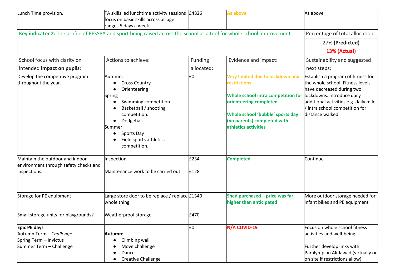| Lunch Time provision.                                                                                                  | TA skills led lunchtime activity sessions $\pm$ 4826<br>focus on basic skills across all age<br>ranges 5 days a week                                                                                       |              | As above                                                                                                                                                                                                           | As above                                                                                                                                                                                                                        |
|------------------------------------------------------------------------------------------------------------------------|------------------------------------------------------------------------------------------------------------------------------------------------------------------------------------------------------------|--------------|--------------------------------------------------------------------------------------------------------------------------------------------------------------------------------------------------------------------|---------------------------------------------------------------------------------------------------------------------------------------------------------------------------------------------------------------------------------|
| Key indicator 2: The profile of PESSPA and sport being raised across the school as a tool for whole school improvement | Percentage of total allocation:                                                                                                                                                                            |              |                                                                                                                                                                                                                    |                                                                                                                                                                                                                                 |
|                                                                                                                        |                                                                                                                                                                                                            |              |                                                                                                                                                                                                                    | 27% (Predicted)                                                                                                                                                                                                                 |
|                                                                                                                        |                                                                                                                                                                                                            |              |                                                                                                                                                                                                                    | 13% (Actual)                                                                                                                                                                                                                    |
| School focus with clarity on                                                                                           | Actions to achieve:                                                                                                                                                                                        | Funding      | Evidence and impact:                                                                                                                                                                                               | Sustainability and suggested                                                                                                                                                                                                    |
| intended impact on pupils:                                                                                             |                                                                                                                                                                                                            | allocated:   |                                                                                                                                                                                                                    | next steps:                                                                                                                                                                                                                     |
| Develop the competitive program<br>throughout the year.                                                                | Autumn:<br><b>Cross Country</b><br>Orienteering<br>Spring<br>Swimming competition<br>Basketball / shooting<br>competition.<br>Dodgeball<br>Summer:<br>Sports Day<br>Field sports athletics<br>competition. | l£0          | Very limited due to lockdown and<br><b>restrictions</b><br>Whole school intra competition for<br>orienteering completed<br>Whole school 'bubble' sports day<br>(no parents) completed with<br>athletics activities | Establish a program of fitness for<br>the whole school. Fitness levels<br>have decreased during two<br>lockdowns. Introduce daily<br>additional activities e.g. daily mile<br>/ intra school competition for<br>distance walked |
| Maintain the outdoor and indoor<br>environment through safety checks and<br>inspections.                               | Inspection<br>Maintenance work to be carried out                                                                                                                                                           | £234<br>£128 | <b>Completed</b>                                                                                                                                                                                                   | Continue                                                                                                                                                                                                                        |
| Storage for PE equipment<br>Small storage units for playgrounds?                                                       | Large store door to be replace / replace £1340<br>whole thing.<br>Weatherproof storage.                                                                                                                    | £470         | Shed purchased - price was far<br>higher than anticipated                                                                                                                                                          | More outdoor storage needed for<br>infant bikes and PE equipment                                                                                                                                                                |
|                                                                                                                        |                                                                                                                                                                                                            |              |                                                                                                                                                                                                                    |                                                                                                                                                                                                                                 |
| Epic PE days<br>Autumn Term - Challenge<br>Spring Term - Invictus<br>Summer Term - Challenge                           | Autumn:<br>Climbing wall<br>Move challenge<br>Dance<br><b>Creative Challenge</b>                                                                                                                           | l£0          | N/A COVID-19                                                                                                                                                                                                       | Focus on whole school fitness<br>activities and well-being<br>Further develop links with<br>Paralympian Ali Jawad (virtually or<br>on site if restrictions allow)                                                               |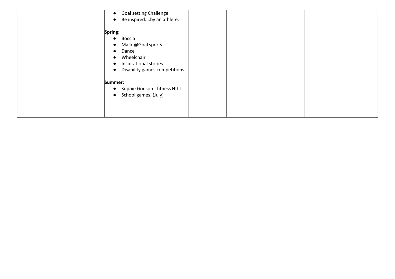| <b>Goal setting Challenge</b><br>$\bullet$<br>Be inspiredby an athlete.                                                                             |  |
|-----------------------------------------------------------------------------------------------------------------------------------------------------|--|
| Spring:<br>Boccia<br>$\bullet$<br>Mark @Goal sports<br>Dance<br>$\bullet$<br>Wheelchair<br>Inspirational stories.<br>Disability games competitions. |  |
| Summer:<br>Sophie Godson - fitness HITT<br>$\bullet$<br>School games. (July)<br>$\bullet$                                                           |  |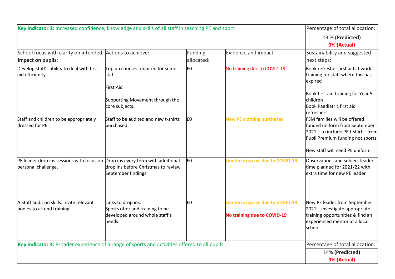| Key indicator 3: Increased confidence, knowledge and skills of all staff in teaching PE and sport | Percentage of total allocation:                                                                               |                       |                                                                        |                                                                                                                                                                               |
|---------------------------------------------------------------------------------------------------|---------------------------------------------------------------------------------------------------------------|-----------------------|------------------------------------------------------------------------|-------------------------------------------------------------------------------------------------------------------------------------------------------------------------------|
|                                                                                                   |                                                                                                               |                       |                                                                        | 13 % (Predicted)<br>0% (Actual)                                                                                                                                               |
| School focus with clarity on intended Actions to achieve:<br>impact on pupils:                    |                                                                                                               | Funding<br>allocated: | Evidence and impact:                                                   | Sustainability and suggested<br>next steps:                                                                                                                                   |
| Develop staff's ability to deal with first<br>aid efficiently.                                    | Top up courses required for some<br>staff.<br>lFirst Aid<br>Supporting Movement through the<br>core subjects. | E <sub>0</sub>        | No training due to COVID-19                                            | Book refresher first aid at work<br>training for staff where this has<br>expired<br>Book first aid training for Year 5<br>children<br>Book Paediatric first aid<br>refreshers |
| Staff and children to be appropriately<br>dressed for PE.                                         | Staff to be audited and new t-shirts<br>burchased.                                                            | E <sub>0</sub>        | <b>New PE clothing purchased</b>                                       | FSM families will be offered<br>funded uniform from September<br>$2021 -$ to include PE t-shirt - from<br>Pupil Premium funding not sports<br>New staff will need PE uniform  |
| PE leader drop ins sessions with focus on<br>personal challenge.                                  | Drop ins every term with additional<br>drop ins before Christmas to review<br>September findings.             | E <sub>0</sub>        | Limited drop ins due to COVID-19                                       | Observations and subject leader<br>time planned for 2021/22 with<br>extra time for new PE leader                                                                              |
| A Staff audit on skills. Invite relevant<br>bodies to attend training.                            | Links to drop ins.<br>Sports offer and training to be<br>developed around whole staff's<br>needs.             | l£0                   | Limited drop ins due to COVID-19<br><b>No training due to COVID-19</b> | New PE leader from September<br>2021 – investigate appropriate<br>training opportunities & find an<br>experienced mentor at a local<br>school                                 |
| Key indicator 4: Broader experience of a range of sports and activities offered to all pupils     |                                                                                                               |                       |                                                                        | Percentage of total allocation:<br>14% (Predicted)<br>9% (Actual)                                                                                                             |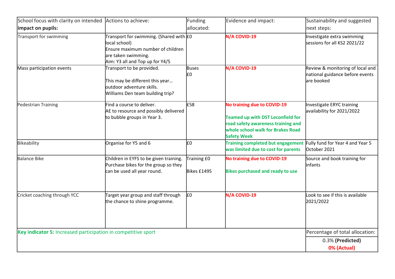| School focus with clarity on intended                         | Actions to achieve:                                                                                                                                     | <b>Funding</b>             | Evidence and impact:                                                                                                                                                     | Sustainability and suggested                                                       |
|---------------------------------------------------------------|---------------------------------------------------------------------------------------------------------------------------------------------------------|----------------------------|--------------------------------------------------------------------------------------------------------------------------------------------------------------------------|------------------------------------------------------------------------------------|
| impact on pupils:                                             |                                                                                                                                                         | allocated:                 |                                                                                                                                                                          | next steps:                                                                        |
| <b>Transport for swimming</b>                                 | Transport for swimming. (Shared with E0<br>local school)<br>Ensure maximum number of children<br>are taken swimming.<br>Aim: Y3 all and Top up for Y4/5 |                            | N/A COVID-19                                                                                                                                                             | Investigate extra swimming<br>sessions for all KS2 2021/22                         |
| Mass participation events                                     | Transport to be provided.<br>This may be different this year<br>loutdoor adventure skills.<br>Williams Den team building trip?                          | <b>Buses</b><br>l£0        | N/A COVID-19                                                                                                                                                             | Review & monitoring of local and<br>national guidance before events<br>lare booked |
| Pedestrian Training                                           | Find a course to deliver.<br>AE to resource and possibly delivered<br>to bubble groups in Year 3.                                                       | £58                        | No training due to COVID-19<br><b>Teamed up with DST Leconfield for</b><br>road safety awareness training and<br>whole school walk for Brakes Road<br><b>Safety Week</b> | Investigate ERYC training<br>availability for 2021/2022                            |
| Bikeability                                                   | Organise for Y5 and 6                                                                                                                                   | l£٥                        | <b>Training completed but engagement</b><br>was limited due to cost for parents                                                                                          | Fully fund for Year 4 and Year 5<br>October 2021                                   |
| <b>Balance Bike</b>                                           | Children in EYFS to be given training.<br>Purchase bikes for the group so they<br>can be used all year round.                                           | Training £0<br>Bikes £1495 | <b>No training due to COVID-19</b><br><b>Bikes purchased and ready to use</b>                                                                                            | Source and book training for<br>linfants                                           |
| Cricket coaching through YCC                                  | Target year group and staff through<br>the chance to shine programme.                                                                                   | E <sub>0</sub>             | N/A COVID-19                                                                                                                                                             | Look to see if this is available<br>2021/2022                                      |
| Key indicator 5: Increased participation in competitive sport | Percentage of total allocation:                                                                                                                         |                            |                                                                                                                                                                          |                                                                                    |
|                                                               |                                                                                                                                                         |                            |                                                                                                                                                                          | 0.3% (Predicted)                                                                   |
|                                                               |                                                                                                                                                         |                            |                                                                                                                                                                          | 0% (Actual)                                                                        |